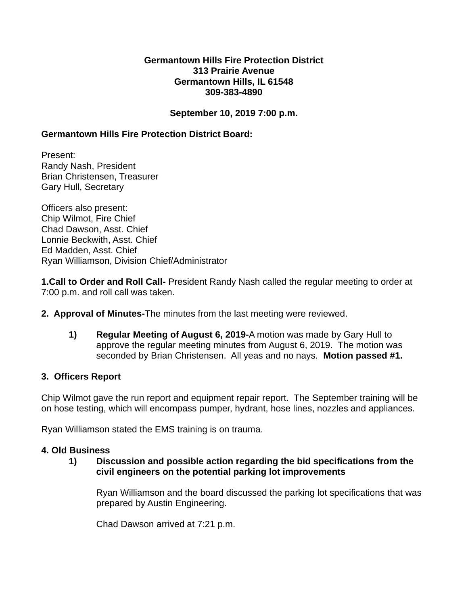### **Germantown Hills Fire Protection District 313 Prairie Avenue Germantown Hills, IL 61548 309-383-4890**

## **September 10, 2019 7:00 p.m.**

## **Germantown Hills Fire Protection District Board:**

Present: Randy Nash, President Brian Christensen, Treasurer Gary Hull, Secretary

Officers also present: Chip Wilmot, Fire Chief Chad Dawson, Asst. Chief Lonnie Beckwith, Asst. Chief Ed Madden, Asst. Chief Ryan Williamson, Division Chief/Administrator

**1.Call to Order and Roll Call-** President Randy Nash called the regular meeting to order at 7:00 p.m. and roll call was taken.

- **2. Approval of Minutes-**The minutes from the last meeting were reviewed.
	- **1) Regular Meeting of August 6, 2019-**A motion was made by Gary Hull to approve the regular meeting minutes from August 6, 2019. The motion was seconded by Brian Christensen. All yeas and no nays. **Motion passed #1.**

#### **3. Officers Report**

Chip Wilmot gave the run report and equipment repair report. The September training will be on hose testing, which will encompass pumper, hydrant, hose lines, nozzles and appliances.

Ryan Williamson stated the EMS training is on trauma.

## **4. Old Business**

**1) Discussion and possible action regarding the bid specifications from the civil engineers on the potential parking lot improvements**

Ryan Williamson and the board discussed the parking lot specifications that was prepared by Austin Engineering.

Chad Dawson arrived at 7:21 p.m.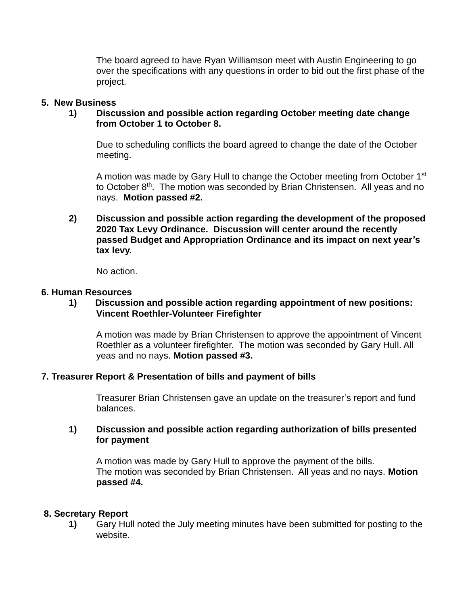The board agreed to have Ryan Williamson meet with Austin Engineering to go over the specifications with any questions in order to bid out the first phase of the project.

#### **5. New Business**

### **1) Discussion and possible action regarding October meeting date change from October 1 to October 8.**

Due to scheduling conflicts the board agreed to change the date of the October meeting.

A motion was made by Gary Hull to change the October meeting from October 1<sup>st</sup> to October 8<sup>th</sup>. The motion was seconded by Brian Christensen. All yeas and no nays. **Motion passed #2.**

**2) Discussion and possible action regarding the development of the proposed 2020 Tax Levy Ordinance. Discussion will center around the recently passed Budget and Appropriation Ordinance and its impact on next year's tax levy.**

No action.

#### **6. Human Resources**

## **1) Discussion and possible action regarding appointment of new positions: Vincent Roethler-Volunteer Firefighter**

A motion was made by Brian Christensen to approve the appointment of Vincent Roethler as a volunteer firefighter. The motion was seconded by Gary Hull. All yeas and no nays. **Motion passed #3.**

## **7. Treasurer Report & Presentation of bills and payment of bills**

Treasurer Brian Christensen gave an update on the treasurer's report and fund balances.

## **1) Discussion and possible action regarding authorization of bills presented for payment**

A motion was made by Gary Hull to approve the payment of the bills. The motion was seconded by Brian Christensen. All yeas and no nays. **Motion passed #4.**

## **8. Secretary Report**

**1)** Gary Hull noted the July meeting minutes have been submitted for posting to the website.